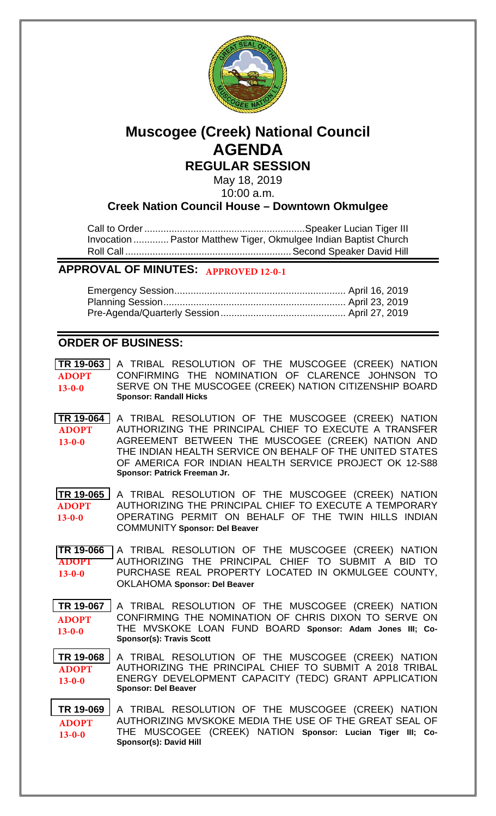

# **Muscogee (Creek) National Council AGENDA REGULAR SESSION**

May 18, 2019

10:00 a.m.

# **Creek Nation Council House – Downtown Okmulgee**

Call to Order...........................................................Speaker Lucian Tiger III Invocation ............. Pastor Matthew Tiger, Okmulgee Indian Baptist Church Roll Call .............................................................Second Speaker David Hill

# **APPROVAL OF MINUTES: APPROVED 12-0-1**

# **ORDER OF BUSINESS:**

**[TR 19-063](/images/pdf2019/bills/19-063.pdf)** A TRIBAL RESOLUTION OF THE MUSCOGEE (CREEK) NATION CONFIRMING THE NOMINATION OF CLARENCE JOHNSON TO SERVE ON THE MUSCOGEE (CREEK) NATION CITIZENSHIP BOARD **Sponsor: Randall Hicks ADOPT 13-0-0**

**[TR 19-064](/bills/19-064.pdf)** A TRIBAL RESOLUTION OF THE MUSCOGEE (CREEK) NATION AUTHORIZING THE PRINCIPAL CHIEF TO EXECUTE A TRANSFER AGREEMENT BETWEEN THE MUSCOGEE (CREEK) NATION AND THE INDIAN HEALTH SERVICE ON BEHALF OF THE UNITED STATES OF AMERICA FOR INDIAN HEALTH SERVICE PROJECT OK 12-S88 **Sponsor: Patrick Freeman Jr. ADOPT 13-0-0**

**[TR 19-065](/images/pdf2019/bills/19-065.pdf)** A TRIBAL RESOLUTION OF THE MUSCOGEE (CREEK) NATION AUTHORIZING THE PRINCIPAL CHIEF TO EXECUTE A TEMPORARY OPERATING PERMIT ON BEHALF OF THE TWIN HILLS INDIAN COMMUNITY **Sponsor: Del Beaver ADOPT 13-0-0**

**[TR 19-066](bills/19-066.pdf)** A TRIBAL RESOLUTION OF THE MUSCOGEE (CREEK) NATION AUTHORIZING THE PRINCIPAL CHIEF TO SUBMIT A BID TO PURCHASE REAL PROPERTY LOCATED IN OKMULGEE COUNTY, OKLAHOMA **Sponsor: Del Beaver ADOPT 13-0-0**

**[TR 19-067](/images/pdf2019/bills/19-067.pdf)** A TRIBAL RESOLUTION OF THE MUSCOGEE (CREEK) NATION CONFIRMING THE NOMINATION OF CHRIS DIXON TO SERVE ON THE MVSKOKE LOAN FUND BOARD **Sponsor: Adam Jones III; Co-Sponsor(s): Travis Scott ADOPT 13-0-0**

**[TR 19-068](/images/pdf2019/bills/19-068.pdf)** A TRIBAL RESOLUTION OF THE MUSCOGEE (CREEK) NATION AUTHORIZING THE PRINCIPAL CHIEF TO SUBMIT A 2018 TRIBAL ENERGY DEVELOPMENT CAPACITY (TEDC) GRANT APPLICATION **Sponsor: Del Beaver ADOPT 13-0-0**

**[TR 19-069](/images/pdf2019/bills/19-069.pdf)** A TRIBAL RESOLUTION OF THE MUSCOGEE (CREEK) NATION AUTHORIZING MVSKOKE MEDIA THE USE OF THE GREAT SEAL OF THE MUSCOGEE (CREEK) NATION **Sponsor: Lucian Tiger III; Co-Sponsor(s): David Hill ADOPT 13-0-0**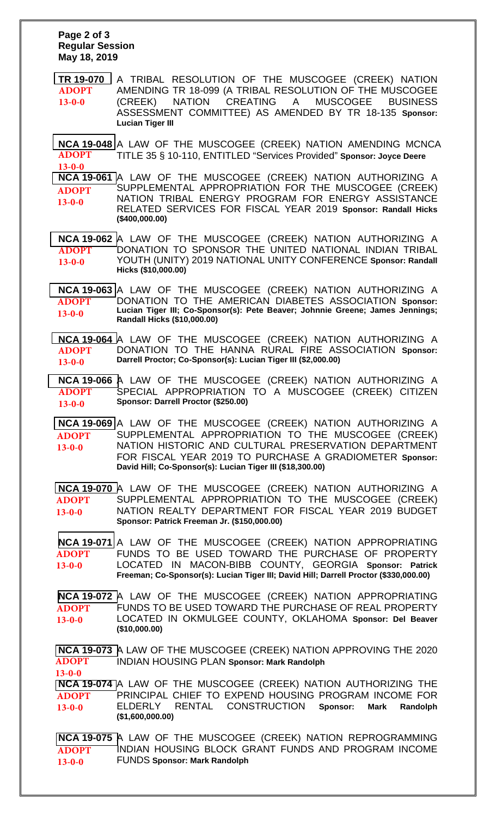#### **Page 2 of 3 Regular Session May 18, 2019**

**[TR 19-070](/images/pdf2019/bills/19-070.pdf)** A TRIBAL RESOLUTION OF THE MUSCOGEE (CREEK) NATION AMENDING TR 18-099 (A TRIBAL RESOLUTION OF THE MUSCOGEE (CREEK) NATION CREATING A MUSCOGEE BUSINESS ASSESSMENT COMMITTEE) AS AMENDED BY TR 18-135 **Sponsor: Lucian Tiger III ADOPT 13-0-0**

**[NCA 19-048](/images/pdf2019/bills/NCA19-048.pdf)** A LAW OF THE MUSCOGEE (CREEK) NATION AMENDING MCNCA TITLE 35 § 10-110, ENTITLED "Services Provided" **Sponsor: Joyce Deere ADOPT 13-0-0**

**[NCA 19-061](/images/pdf2019/bills/NCA19-061.pdf)** A LAW OF THE MUSCOGEE (CREEK) NATION AUTHORIZING A SUPPLEMENTAL APPROPRIATION FOR THE MUSCOGEE (CREEK) NATION TRIBAL ENERGY PROGRAM FOR ENERGY ASSISTANCE RELATED SERVICES FOR FISCAL YEAR 2019 **Sponsor: Randall Hicks (\$400,000.00) ADOPT 13-0-0**

**[NCA 19-062](/images/pdf2019/bills/NCA19-062.pdf)** A LAW OF THE MUSCOGEE (CREEK) NATION AUTHORIZING A DONATION TO SPONSOR THE UNITED NATIONAL INDIAN TRIBAL **ADOPT** YOUTH (UNITY) 2019 NATIONAL UNITY CONFERENCE **Sponsor: Randall Hicks (\$10,000.00) 13-0-0**

**NCA [19-063](/images/pdf2019/bills/NCA19-063.pdf)** A LAW OF THE MUSCOGEE (CREEK) NATION AUTHORIZING A DONATION TO THE AMERICAN DIABETES ASSOCIATION **Sponsor: Lucian Tiger III; Co-Sponsor(s): Pete Beaver; Johnnie Greene; James Jennings; Randall Hicks (\$10,000.00) ADOPT 13-0-0**

**[NCA 19-064](/images/pdf2019/bills/NCA19-064.pdf)** A LAW OF THE MUSCOGEE (CREEK) NATION AUTHORIZING A DONATION TO THE HANNA RURAL FIRE ASSOCIATION **Sponsor: Darrell Proctor; Co-Sponsor(s): Lucian Tiger III (\$2,000.00) ADOPT 13-0-0**

**[NCA 19-066](/images/pdf2019/bills/NCA19-066.pdf)** A LAW OF THE MUSCOGEE (CREEK) NATION AUTHORIZING A SPECIAL APPROPRIATION TO A MUSCOGEE (CREEK) CITIZEN **Sponsor: Darrell Proctor (\$250.00) ADOPT 13-0-0**

**[NCA 19-069](/images/pdf2019/bills/NCA19-069.pdf)** A LAW OF THE MUSCOGEE (CREEK) NATION AUTHORIZING A SUPPLEMENTAL APPROPRIATION TO THE MUSCOGEE (CREEK) NATION HISTORIC AND CULTURAL PRESERVATION DEPARTMENT FOR FISCAL YEAR 2019 TO PURCHASE A GRADIOMETER **Sponsor: David Hill; Co-Sponsor(s): Lucian Tiger III (\$18,300.00) ADOPT 13-0-0**

**[NCA 19-070](/images/pdf2019/bills/NCA19-070.pdf)** A LAW OF THE MUSCOGEE (CREEK) NATION AUTHORIZING A SUPPLEMENTAL APPROPRIATION TO THE MUSCOGEE (CREEK) NATION REALTY DEPARTMENT FOR FISCAL YEAR 2019 BUDGET **Sponsor: Patrick Freeman Jr. (\$150,000.00) ADOPT 13-0-0**

**[NCA 19-071](/images/pdf2019/bills/NCA19-071.pdf)** A LAW OF THE MUSCOGEE (CREEK) NATION APPROPRIATING FUNDS TO BE USED TOWARD THE PURCHASE OF PROPERTY LOCATED IN MACON-BIBB COUNTY, GEORGIA **Sponsor: Patrick Freeman; Co-Sponsor(s): Lucian Tiger III; David Hill; Darrell Proctor (\$330,000.00) ADOPT 13-0-0**

**[NCA 19-072](/images/pdf2019/bills/NCA19-072.pdf)** A LAW OF THE MUSCOGEE (CREEK) NATION APPROPRIATING FUNDS TO BE USED TOWARD THE PURCHASE OF REAL PROPERTY LOCATED IN OKMULGEE COUNTY, OKLAHOMA **Sponsor: Del Beaver (\$10,000.00) ADOPT 13-0-0**

**[NCA 19-073](/images/pdf2019/bills/NCA19-073.pdf)** A LAW OF THE MUSCOGEE (CREEK) NATION APPROVING THE 2020 INDIAN HOUSING PLAN **Sponsor: Mark Randolph ADOPT**

**[NCA 19-074](/images/pdf2019/bills/NCA19-074.pdf)** A LAW OF THE MUSCOGEE (CREEK) NATION AUTHORIZING THE PRINCIPAL CHIEF TO EXPEND HOUSING PROGRAM INCOME FOR ELDERLY RENTAL CONSTRUCTION **Sponsor: Mark Randolph (\$1,600,000.00) 13-0-0 ADOPT 13-0-0**

**[NCA 19-075](/images/pdf2019/bills/NCA19-075.pdf)** A LAW OF THE MUSCOGEE (CREEK) NATION REPROGRAMMING INDIAN HOUSING BLOCK GRANT FUNDS AND PROGRAM INCOME FUNDS **Sponsor: Mark Randolph ADOPT 13-0-0**